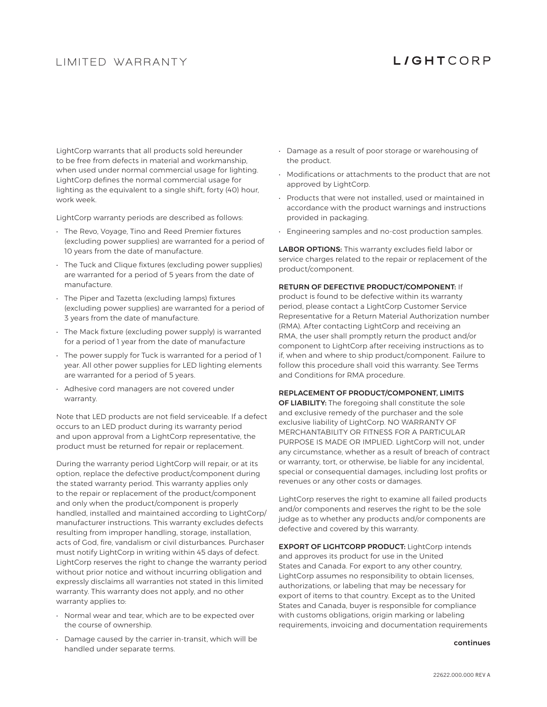## **L IM ITED WARRANTY**

# **LIGHTCORP**

LightCorp warrants that all products sold hereunder to be free from defects in material and workmanship, when used under normal commercial usage for lighting. LightCorp defines the normal commercial usage for lighting as the equivalent to a single shift, forty (40) hour, work week.

LightCorp warranty periods are described as follows:

- The Revo, Voyage, Tino and Reed Premier fixtures (excluding power supplies) are warranted for a period of 10 years from the date of manufacture.
- The Tuck and Clique fixtures (excluding power supplies) are warranted for a period of 5 years from the date of manufacture.
- The Piper and Tazetta (excluding lamps) fixtures (excluding power supplies) are warranted for a period of 3 years from the date of manufacture.
- The Mack fixture (excluding power supply) is warranted for a period of 1 year from the date of manufacture
- The power supply for Tuck is warranted for a period of 1 year. All other power supplies for LED lighting elements are warranted for a period of 5 years.
- Adhesive cord managers are not covered under warranty.

Note that LED products are not field serviceable. If a defect occurs to an LED product during its warranty period and upon approval from a LightCorp representative, the product must be returned for repair or replacement.

During the warranty period LightCorp will repair, or at its option, replace the defective product/component during the stated warranty period. This warranty applies only to the repair or replacement of the product/component and only when the product/component is properly handled, installed and maintained according to LightCorp/ manufacturer instructions. This warranty excludes defects resulting from improper handling, storage, installation, acts of God, fire, vandalism or civil disturbances. Purchaser must notify LightCorp in writing within 45 days of defect. LightCorp reserves the right to change the warranty period without prior notice and without incurring obligation and expressly disclaims all warranties not stated in this limited warranty. This warranty does not apply, and no other warranty applies to:

- Normal wear and tear, which are to be expected over the course of ownership.
- Damage caused by the carrier in-transit, which will be handled under separate terms.
- Damage as a result of poor storage or warehousing of the product.
- Modifications or attachments to the product that are not approved by LightCorp.
- Products that were not installed, used or maintained in accordance with the product warnings and instructions provided in packaging.
- Engineering samples and no-cost production samples.

LABOR OPTIONS: This warranty excludes field labor or service charges related to the repair or replacement of the product/component.

### RETURN OF DEFECTIVE PRODUCT/COMPONENT: If

product is found to be defective within its warranty period, please contact a LightCorp Customer Service Representative for a Return Material Authorization number (RMA). After contacting LightCorp and receiving an RMA, the user shall promptly return the product and/or component to LightCorp after receiving instructions as to if, when and where to ship product/component. Failure to follow this procedure shall void this warranty. See Terms and Conditions for RMA procedure.

#### REPLACEMENT OF PRODUCT/COMPONENT, LIMITS

OF LIABILITY: The foregoing shall constitute the sole and exclusive remedy of the purchaser and the sole exclusive liability of LightCorp. NO WARRANTY OF MERCHANTABILITY OR FITNESS FOR A PARTICULAR PURPOSE IS MADE OR IMPLIED. LightCorp will not, under any circumstance, whether as a result of breach of contract or warranty, tort, or otherwise, be liable for any incidental, special or consequential damages, including lost profits or revenues or any other costs or damages.

LightCorp reserves the right to examine all failed products and/or components and reserves the right to be the sole judge as to whether any products and/or components are defective and covered by this warranty.

EXPORT OF LIGHTCORP PRODUCT: LightCorp intends and approves its product for use in the United States and Canada. For export to any other country, LightCorp assumes no responsibility to obtain licenses, authorizations, or labeling that may be necessary for export of items to that country. Except as to the United States and Canada, buyer is responsible for compliance with customs obligations, origin marking or labeling requirements, invoicing and documentation requirements

#### continues